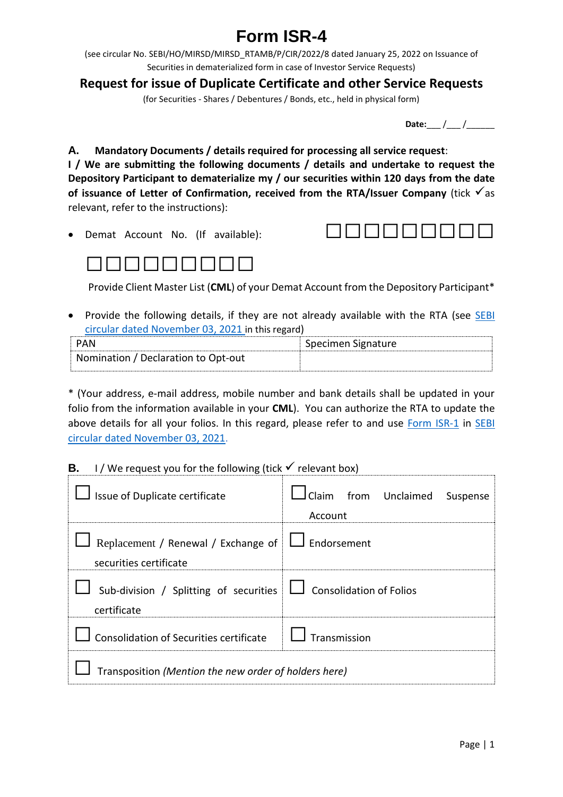## **Form ISR-4**

(see circular No. SEBI/HO/MIRSD/MIRSD\_RTAMB/P/CIR/2022/8 dated January 25, 2022 on Issuance of Securities in dematerialized form in case of Investor Service Requests)

**Request for issue of Duplicate Certificate and other Service Requests**

(for Securities - Shares / Debentures / Bonds, etc., held in physical form)

**Date:** / /

**A. Mandatory Documents / details required for processing all service request**:

**I / We are submitting the following documents / details and undertake to request the Depository Participant to dematerialize my / our securities within 120 days from the date**  of **issuance** of Letter of Confirmation, received from the RTA/Issuer Company (tick  $\checkmark$  as relevant, refer to the instructions):

• Demat Account No. (If available):  $\Box$   $\Box$   $\Box$   $\Box$   $\Box$   $\Box$ 





Provide Client Master List (**CML**) of your Demat Account from the Depository Participant\*

• Provide the following details, if they are not already available with the RTA (see SEBI [circular dated November 03, 2021](https://www.sebi.gov.in/legal/circulars/nov-2021/common-and-simplified-norms-for-processing-investor-s-service-request-by-rtas-and-norms-for-furnishing-pan-kyc-details-and-nomination_53787.html) in this regard)

| PAN                                 | Specimen Signature |
|-------------------------------------|--------------------|
| Nomination / Declaration to Opt-out |                    |

\* (Your address, e-mail address, mobile number and bank details shall be updated in your folio from the information available in your **CML**). You can authorize the RTA to update the above details for all your folios. In this regard, please refer to and use [Form ISR-1](https://www.sebi.gov.in/sebi_data/commondocs/dec-2021/pdf%20Form%20ISR-1%20(1)_p.pdf) in SEBI [circular dated November 03, 2021.](https://www.sebi.gov.in/legal/circulars/nov-2021/common-and-simplified-norms-for-processing-investor-s-service-request-by-rtas-and-norms-for-furnishing-pan-kyc-details-and-nomination_53787.html)

## **B.** I/We request you for the following (tick  $\checkmark$  relevant box)

| Issue of Duplicate certificate                                                       | from Unclaimed<br>l Claim<br>Suspense<br>Account |  |  |
|--------------------------------------------------------------------------------------|--------------------------------------------------|--|--|
| Replacement / Renewal / Exchange of $\Box$ Endorsement<br>securities certificate     |                                                  |  |  |
| Sub-division / Splitting of securities $\Box$ Consolidation of Folios<br>certificate |                                                  |  |  |
| Consolidation of Securities certificate                                              | Transmission                                     |  |  |
| Transposition (Mention the new order of holders here)                                |                                                  |  |  |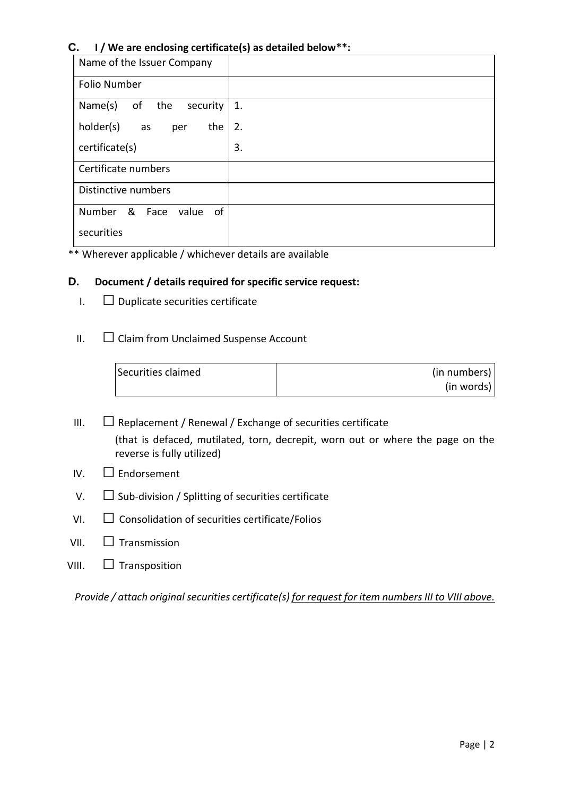## **C. I / We are enclosing certificate(s) as detailed below\*\*:**

| Name of the Issuer Company      |    |
|---------------------------------|----|
| <b>Folio Number</b>             |    |
| Name(s)<br>of the<br>security   | 1. |
| holder(s)<br>the<br>as<br>per   | 2. |
| certificate(s)                  | 3. |
| Certificate numbers             |    |
| Distinctive numbers             |    |
| Number<br>& Face<br>value<br>0f |    |
| securities                      |    |

\*\* Wherever applicable / whichever details are available

## **D. Document / details required for specific service request:**

- $I.$   $\Box$  Duplicate securities certificate
- $II.$   $\Box$  Claim from Unclaimed Suspense Account

| Securities claimed | (in numbers) |
|--------------------|--------------|
|                    | (in words)   |

- III.  $\Box$  Replacement / Renewal / Exchange of securities certificate (that is defaced, mutilated, torn, decrepit, worn out or where the page on the reverse is fully utilized)
- $IV$   $\Box$  Endorsement
- $V.$   $\square$  Sub-division / Splitting of securities certificate
- $VI.$   $\Box$  Consolidation of securities certificate/Folios
- $VII.$   $\Box$  Transmission
- VIII.  $\Box$  Transposition

*Provide / attach original securities certificate(s) for request for item numbers III to VIII above.*